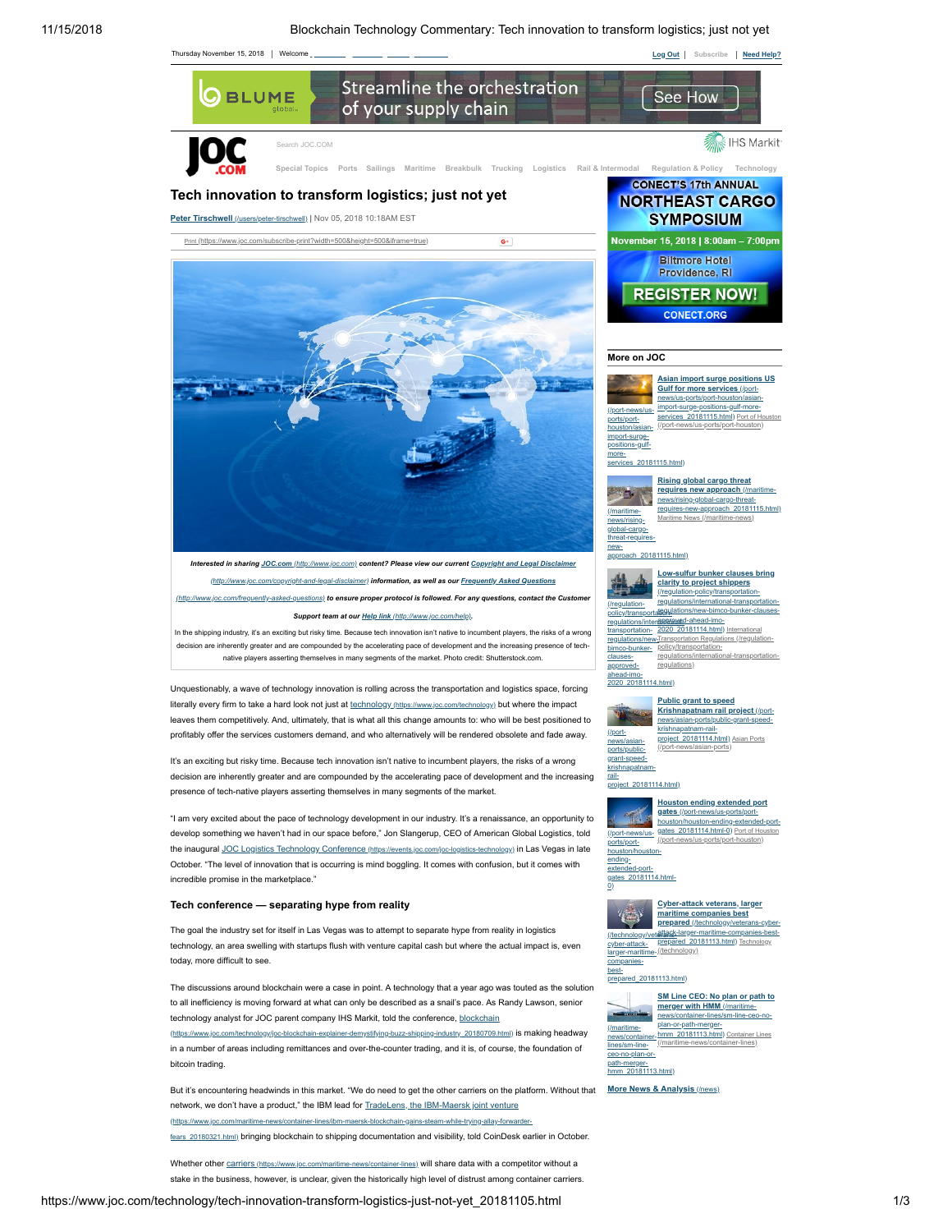

Whether other carriers [\(https://www.joc.com/maritime-news/container-lines\)](https://www.joc.com/maritime-news/container-lines) will share data with a competitor without a stake in the business, however, is unclear, given the historically high level of distrust among container carriers.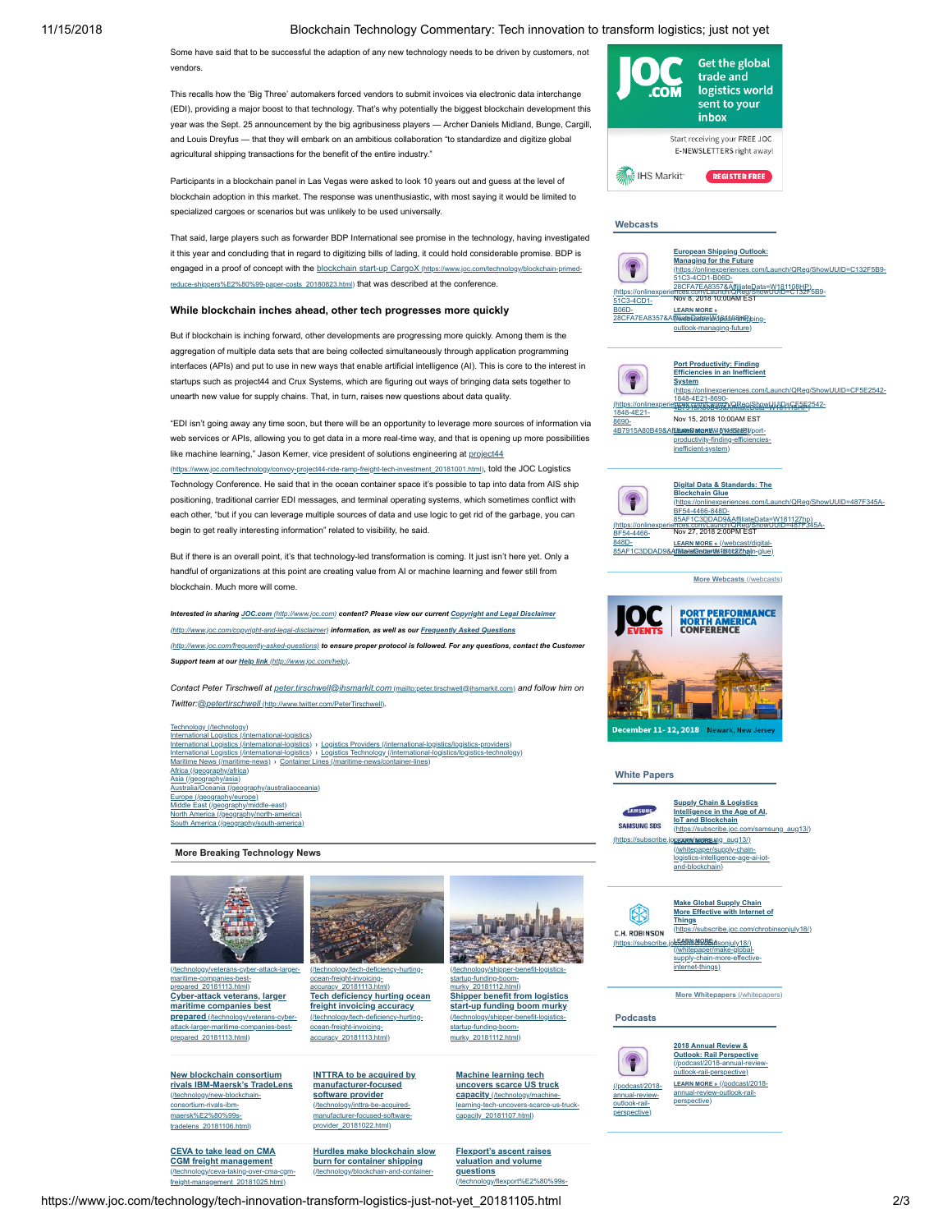# 11/15/2018 Blockchain Technology Commentary: Tech innovation to transform logistics; just not yet

Some have said that to be successful the adaption of any new technology needs to be driven by customers, not vendors.

This recalls how the 'Big Three' automakers forced vendors to submit invoices via electronic data interchange (EDI), providing a major boost to that technology. That's why potentially the biggest blockchain development this year was the Sept. 25 announcement by the big agribusiness players — Archer Daniels Midland, Bunge, Cargill, and Louis Dreyfus — that they will embark on an ambitious collaboration "to standardize and digitize global agricultural shipping transactions for the benefit of the entire industry."

Participants in a blockchain panel in Las Vegas were asked to look 10 years out and guess at the level of blockchain adoption in this market. The response was unenthusiastic, with most saying it would be limited to specialized cargoes or scenarios but was unlikely to be used universally.

That said, large players such as forwarder BDP International see promise in the technology, having investigated it this year and concluding that in regard to digitizing bills of lading, it could hold considerable promise. BDP is engaged in a proof of concept with the blockchain start-up CargoX (https://www.joc.com/technology/blockchain-prin costs\_20180823.html) that was described at the conference.

# **While blockchain inches ahead, other tech progresses more quickly**

But if blockchain is inching forward, other developments are progressing more quickly. Among them is the aggregation of multiple data sets that are being collected simultaneously through application programming interfaces (APIs) and put to use in new ways that enable artificial intelligence (AI). This is core to the interest in startups such as project44 and Crux Systems, which are figuring out ways of bringing data sets together to unearth new value for supply chains. That, in turn, raises new questions about data quality.

"EDI isn't going away any time soon, but there will be an opportunity to leverage more sources of information via web services or APIs, allowing you to get data in a more real-time way, and that is opening up more possibilities like machine learning," Jason Kerner, vice president of solutions engineering at project44

[\(https://www.joc.com/technology/convoy-project44-ride-ramp-freight-tech-investment\\_20181001.html\)](https://www.joc.com/technology/convoy-project44-ride-ramp-freight-tech-investment_20181001.html), told the JOC Logistics Technology Conference. He said that in the ocean container space it's possible to tap into data from AIS ship positioning, traditional carrier EDI messages, and terminal operating systems, which sometimes conflict with each other, "but if you can leverage multiple sources of data and use logic to get rid of the garbage, you can begin to get really interesting information" related to visibility, he said.

But if there is an overall point, it's that technology-led transformation is coming. It just isn't here yet. Only a handful of organizations at this point are creating value from AI or machine learning and fewer still from blockchain. Much more will come.

*Interested in sharing JOC.com [\(http://www.joc.com\)](http://www.joc.com/) [content? Please view our current Copyright and Legal Disclaimer](http://www.joc.com/copyright-and-legal-disclaimer) (http://www.joc.com/copyright-and-legal-disclaimer) information, as well as our Frequently Asked Questions (http://www.joc.com/frequently-asked-questions) [to ensure proper protocol is followed. For any questions, c](http://www.joc.com/frequently-asked-questions)ontact the Customer Support team at our Help link [\(http://www.joc.com/help\)](http://www.joc.com/help).*

*Contact Peter Tirschwell at [peter.tirschwell@ihsmarkit.com](mailto:peter.tirschwell@ihsmarkit.com)* (mailto:peter.tirschwell@ihsmarkit.com) *and follow him on Twitter:@petertirschwell* [\(http://www.twitter.com/PeterTirschwell\)](http://www.twitter.com/PeterTirschwell)*.*

hnology (/technology) [International Logistics \(/international-logistics\)](https://www.joc.com/international-logistics) [International Logistics \(/international-logistics\)](https://www.joc.com/international-logistics) › [Logistics Providers \(/international-logistics/logistics-providers\)](https://www.joc.com/international-logistics/logistics-providers) [International Logistics \(/international-logistics\)](https://www.joc.com/international-logistics) › [Logistics Technology \(/international-logistics/logistics-technology\)](https://www.joc.com/international-logistics/logistics-technology)<br>Maritime News (/maritime-news) › Container Lines (/maritime-news/container-lines) [Maritime News \(/maritime-news\)](https://www.joc.com/maritime-news) › [Container Lines \(/maritime-news/container-lines\)](https://www.joc.com/maritime-news/container-lines)<br>[Africa \(/geography/africa\)](https://www.joc.com/geography/africa)<br>[Asia \(/geography/asia\)](https://www.joc.com/geography/asia)<br>Australia/Oceania ((geography/australiaoceania) <u>[Europe \(/geography/europe\)](https://www.joc.com/geography/europe)</u><br>Middle East <u>(/geography/middle-east)</u> [North America \(/geography/north-america\)](https://www.joc.com/geography/north-america)

## **More Breaking Technology News**

[South America \(/geography/south-america\)](https://www.joc.com/geography/south-america)



maritime-companies-bestprepared\_20181113.html) **Cyber-attack veterans, larger maritime companies best prepared** (/technology/veterans [attack-larger-maritime-companies-best](https://www.joc.com/technology/veterans-cyber-attack-larger-maritime-companies-best-prepared_20181113.html)prepared\_20181113.html)

**New blockchain consortium rivals IBM-Maersk's TradeLens** [\(/technology/new-blockchain](https://www.joc.com/technology/new-blockchain-consortium-rivals-ibm-maersk%E2%80%99s-tradelens_20181106.html)consortium-rivals-ibm maersk%E2%80%99stradelens\_20181106.html)

**CEVA to take lead on CMA CGM freight management** [\(/technology/ceva-taking-over-cma-cgm](https://www.joc.com/technology/ceva-taking-over-cma-cgm-freight-management_20181025.html)ht-20181025.html



ocean-freight-invoicingaccuracy\_20181113.htm **Tech deficiency hurting ocean freight invoicing accuracy** [\(/technology/tech-deficiency-hurting](https://www.joc.com/technology/tech-deficiency-hurting-ocean-freight-invoicing-accuracy_20181113.html)ocean-freight-invoicingaccuracy\_20181113.html)

**INTTRA to be acquired by [manufacturer-focused](https://www.joc.com/technology/inttra-be-acquired-manufacturer-focused-software-provider_20181022.html) software provider** (/technology/inttra-be-acquired manufacturer-focused-softwareprovider\_20181022.html)

**Hurdles make blockchain slow burn for container shipping** (/technology/blockchain-and-contain-



startup-funding-boom murky\_20181112.html) **Shipper benefit from logistics start-up funding boom murky** [\(/technology/shipper-benefit-logistics](https://www.joc.com/technology/shipper-benefit-logistics-startup-funding-boom-murky_20181112.html)startup-funding-boom murky\_20181112.html)

**Machine learning tech uncovers scarce US truck capacity** (/technology/machinelearning-tech-uncovers-so capacity\_20181107.html)

**Flexport's ascent raises valuation and volume questions**

[\(/technology/flexport%E2%80%99s-](https://www.joc.com/technology/flexport%E2%80%99s-ascent-raises-valuation-and-volume-questions_20180918.html)



**Get the global** 

28CFA7EA8357&AffiliateData=W181108HP)<br>[\(https://onlinexperiences.com/Launch/QReg/ShowUUID=C132F5B9-](https://onlinexperiences.com/Launch/QReg/ShowUUID=C132F5B9-51C3-4CD1-B06D-28CFA7EA8357&AffiliateData=W181108HP)<br>51C3-4CD1- Rev 8, 2018 10:00AM EST 51C3-4CD1- **B06D-**<br>28CEA7EA8357& 28CFA7EA8357&A**ffiliateDataeWd@440&hilp)**ping-<br>outlook-managi<u>ng-future)</u> h/QReg/ShowUUID=C132F5B9-51C3-4CD1-B06D-**LEARN MORE »**



|            | <b>Digital Data &amp; Standards: The</b>                                                              |
|------------|-------------------------------------------------------------------------------------------------------|
|            | <b>Blockchain Glue</b>                                                                                |
|            | (https://onlinexperiences.com/Launch/QReg/ShowUUID=487F345A-                                          |
|            | BF54-4466-848D-                                                                                       |
|            | 85AF1C3DDAD9&AffiliateData=W181127hp)<br>(https://onlinexperiences.com/Launch/QReg/ShowUUID=487F345A- |
|            |                                                                                                       |
| BF54-4466- | Nov 27, 2018 2:00PM EST                                                                               |
| 848D-      | LEARN MORE » (/webcast/digital-                                                                       |
|            | 85AF1C3DDAD9&Affiliate@atamMś1Bibb2Zhain-glue)                                                        |



### **White Papers**

**Supply Chain & Logistics** SAMSUNG **Intelligence in the Age of AI, IoT and Blockchain SAMSUNG SDS** [\(https://subscribe.joc.com/samsung\\_aug13/\)](https://subscribe.joc.com/samsung_aug13/) [\(https://subscribe.joc.com/samsung\\_aug13/\)](https://subscribe.joc.com/samsung_aug13/) **LEARN MORE »** /whitepaper/supply [logistics-intelligence-age-ai-iot-](https://www.joc.com/whitepaper/supply-chain-logistics-intelligence-age-ai-iot-and-blockchain)and-blockchain)

**Make Global Supply Chain** 的 C.H. ROBINSON

(https://subscribe.jo**l-EARN MOBE**iAsonjuly18/)<br>Whitepaper/make-global-**More Effective with Internet of Things** ionjuly18/)

[supply-chain-more-effective](https://www.joc.com/whitepaper/make-global-supply-chain-more-effective-internet-things)t-things)

**[More Whitepapers](https://www.joc.com/whitepapers)** (/whitepapers)

**Podcasts**



annual-review-outlook-railperspective)

**2018 Annual Review & Outlook: Rail Perspective** [\(/podcast/2018-annual-review](https://www.joc.com/podcast/2018-annual-review-outlook-rail-perspective)outlook-rail-perspective)

**LEARN MORE »** (/podcast/2018 [annual-review-outlook-rail](https://www.joc.com/podcast/2018-annual-review-outlook-rail-perspective)perspective)

https://www.joc.com/technology/tech-innovation-transform-logistics-just-not-yet\_20181105.html 2/3